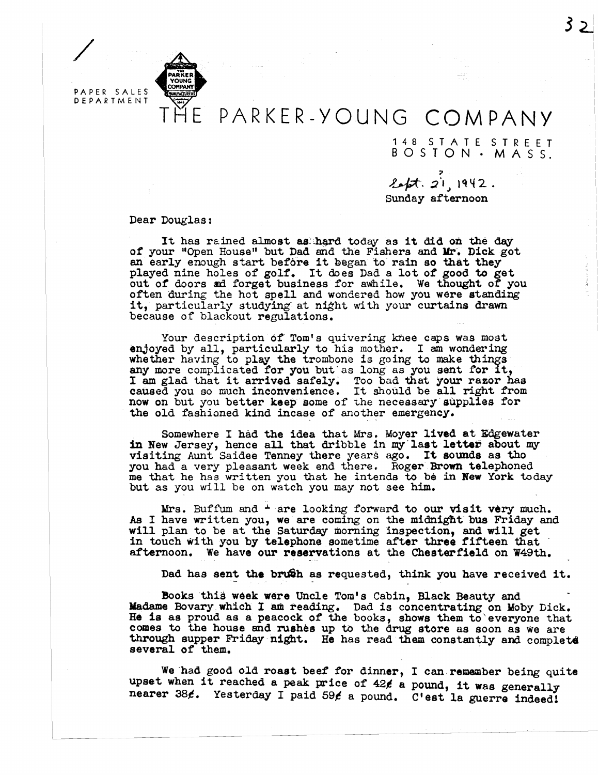

/

## PARKER-YOUNG COMPANY

148 STATE STREET BOSTON· MASS.

,.  $2$  .  $2^1$ ,  $1942$ . Sunday afternoon

Dear Douglas:

It has rained almost as hard today as it did on the day of your "Open House" but Dad and the Fishers and Mr. Dick got an early enough start before it began to rain so that they played nine holes of golf. It does Dad a lot *ot* good to get out or doors ad. forget business for awhile. We thought of you often during the hot spell and wondered how you were standing it, particularly studying at night with your curtains drawn it, particularly studying at night with your curtains drawn because of blackout regulations.

Your description of Tom's quivering knee caps was most enjoyed by all, particularly to his mother. I am wondering whether having to play the trombone is going to make things any more complicated for you but as long as you sent for it, any more complicated for you but as long as you sent for it,<br>I am glad that it arrived safely. Too bad that your razor has I am grad that it arrived safely. Too bad that your razor has caused you so much inconvenience. It should be all right from now on but you better keep some of the necessary supplies for the old fashioned kind incase of another emergency.

Somewhere I had the idea that Mrs. Moyer lived at Edgewater in New Jersey, hence all that dribble in my last letter about my visiting Aunt Saidee Tenney there years ago. It sounds as tho you had a very pleasant week end there. Roger Brown telephoned me that he has written you that he intends to be in New York today but as you will be on watch you may not see him.

Mrs. Buffum and  $\pm$  are looking forward to our visit very much. As I have written you, we are coming on the midnight bus Friday and will plan to be at the Saturday morning inspection, and will get in touch with you by telephone sometime after three fifteen that afternoon. We have our reservations at the Chesterfield on W49th.

Dad has sent the brush as requested, think you have received it.

Books this week were Uncle Tom's Cabin, Black Beauty and Madame Bovary which I am reading. Dad is concentrating on Moby Dick. He is as proud as a peacock of the books, shows them to everyone that comes to the house and rushes up to the drug store as soon as We are through supper Friday night. He has read them constantly and complete several of them.

We had good old roast beef for dinner, I can remember being quite upset when it reached a peak price of  $42$  $6$  a pound, it was generally nearer 38¢. Yesterday I paid 59¢ a pound. C'est la guerre indeed!